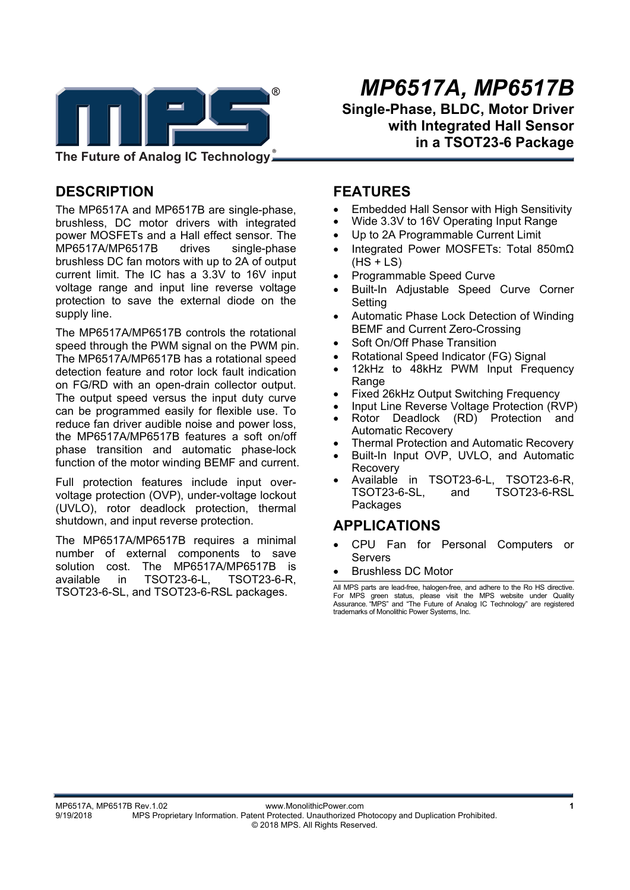

**The Future of Analog IC Technology**

# **DESCRIPTION**

The MP6517A and MP6517B are single-phase, brushless, DC motor drivers with integrated power MOSFETs and a Hall effect sensor. The MP6517A/MP6517B drives single-phase brushless DC fan motors with up to 2A of output current limit. The IC has a 3.3V to 16V input voltage range and input line reverse voltage protection to save the external diode on the supply line.

The MP6517A/MP6517B controls the rotational speed through the PWM signal on the PWM pin. The MP6517A/MP6517B has a rotational speed detection feature and rotor lock fault indication on FG/RD with an open-drain collector output. The output speed versus the input duty curve can be programmed easily for flexible use. To reduce fan driver audible noise and power loss, the MP6517A/MP6517B features a soft on/off phase transition and automatic phase-lock function of the motor winding BEMF and current.

Full protection features include input overvoltage protection (OVP), under-voltage lockout (UVLO), rotor deadlock protection, thermal shutdown, and input reverse protection.

The MP6517A/MP6517B requires a minimal number of external components to save solution cost. The MP6517A/MP6517B is available in TSOT23-6-L, TSOT23-6-R, TSOT23-6-SL, and TSOT23-6-RSL packages.

 *MP6517A, MP6517B*  **Single-Phase, BLDC, Motor Driver with Integrated Hall Sensor in a TSOT23-6 Package** 

### **FEATURES**

- Embedded Hall Sensor with High Sensitivity
- Wide 3.3V to 16V Operating Input Range
- Up to 2A Programmable Current Limit
- Integrated Power MOSFETs: Total 850mΩ  $(HS + LS)$
- Programmable Speed Curve
- Built-In Adjustable Speed Curve Corner Setting
- Automatic Phase Lock Detection of Winding BEMF and Current Zero-Crossing
- Soft On/Off Phase Transition
- Rotational Speed Indicator (FG) Signal
- 12kHz to 48kHz PWM Input Frequency **Range**
- Fixed 26kHz Output Switching Frequency
- Input Line Reverse Voltage Protection (RVP)
- Rotor Deadlock (RD) Protection and Automatic Recovery
- Thermal Protection and Automatic Recovery
- Built-In Input OVP, UVLO, and Automatic Recovery
- Available in TSOT23-6-L, TSOT23-6-R, TSOT23-6-SL, and TSOT23-6-RSL Packages

## **APPLICATIONS**

- CPU Fan for Personal Computers or Servers
- Brushless DC Motor

All MPS parts are lead-free, halogen-free, and adhere to the Ro HS directive. For MPS green status, please visit the MPS website under Quality Assurance. "MPS" and "The Future of Analog IC Technology" are registered trademarks of Monolithic Power Systems, Inc.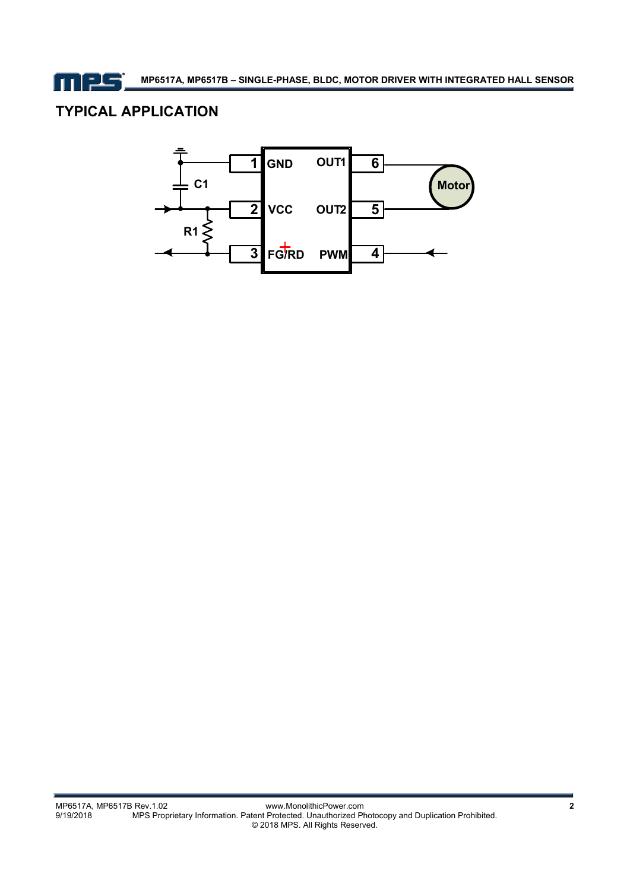mes

# **TYPICAL APPLICATION**

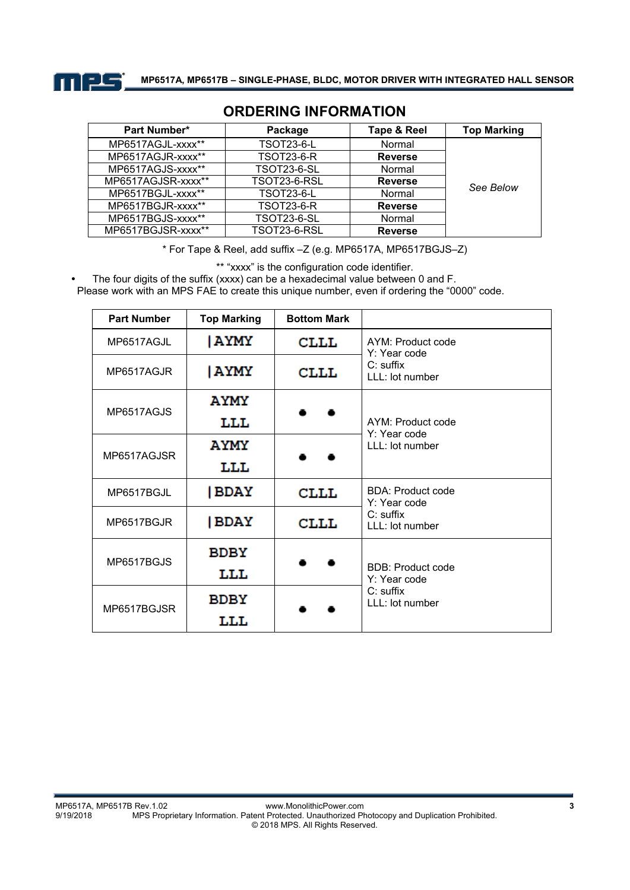

| <b>Part Number*</b> | Package            | Tape & Reel    | <b>Top Marking</b> |
|---------------------|--------------------|----------------|--------------------|
| MP6517AGJL-xxxx**   | <b>TSOT23-6-L</b>  | Normal         |                    |
| MP6517AGJR-xxxx**   | <b>TSOT23-6-R</b>  | <b>Reverse</b> |                    |
| MP6517AGJS-xxxx**   | <b>TSOT23-6-SL</b> | Normal         |                    |
| MP6517AGJSR-xxxx**  | TSOT23-6-RSL       | <b>Reverse</b> | See Below          |
| MP6517BGJL-xxxx**   | <b>TSOT23-6-L</b>  | Normal         |                    |
| MP6517BGJR-xxxx**   | <b>TSOT23-6-R</b>  | <b>Reverse</b> |                    |
| MP6517BGJS-xxxx**   | <b>TSOT23-6-SL</b> | Normal         |                    |
| MP6517BGJSR-xxxx**  | TSOT23-6-RSL       | <b>Reverse</b> |                    |

## **ORDERING INFORMATION**

\* For Tape & Reel, add suffix –Z (e.g. MP6517A, MP6517BGJS–Z)

\*\* "xxxx" is the configuration code identifier.

The four digits of the suffix (xxxx) can be a hexadecimal value between 0 and F.

Please work with an MPS FAE to create this unique number, even if ordering the "0000" code.

| <b>Part Number</b> | <b>Top Marking</b> | <b>Bottom Mark</b> |                                          |  |
|--------------------|--------------------|--------------------|------------------------------------------|--|
| MP6517AGJL         | AYMY               | <b>CLLL</b>        | AYM: Product code<br>Y: Year code        |  |
| MP6517AGJR         | AYMY               | <b>CLLL</b>        | $C:$ suffix<br>LLL: lot number           |  |
| MP6517AGJS         | <b>AYMY</b>        |                    |                                          |  |
|                    | LLL                |                    | AYM: Product code<br>Y: Year code        |  |
| MP6517AGJSR        | <b>AYMY</b>        | LLL: lot number    |                                          |  |
|                    | LLL                |                    |                                          |  |
| MP6517BGJL         | BDAY               | <b>CLLL</b>        | <b>BDA: Product code</b><br>Y: Year code |  |
| MP6517BGJR         | BDAY               | <b>CLLL</b>        | C: suffix<br>$LLL$ : lot number          |  |
|                    | <b>BDBY</b>        |                    |                                          |  |
| MP6517BGJS         | LLL                |                    | <b>BDB: Product code</b><br>Y: Year code |  |
| MP6517BGJSR        | <b>BDBY</b>        |                    | $C:$ suffix<br>LLL: lot number           |  |
|                    | LLL                |                    |                                          |  |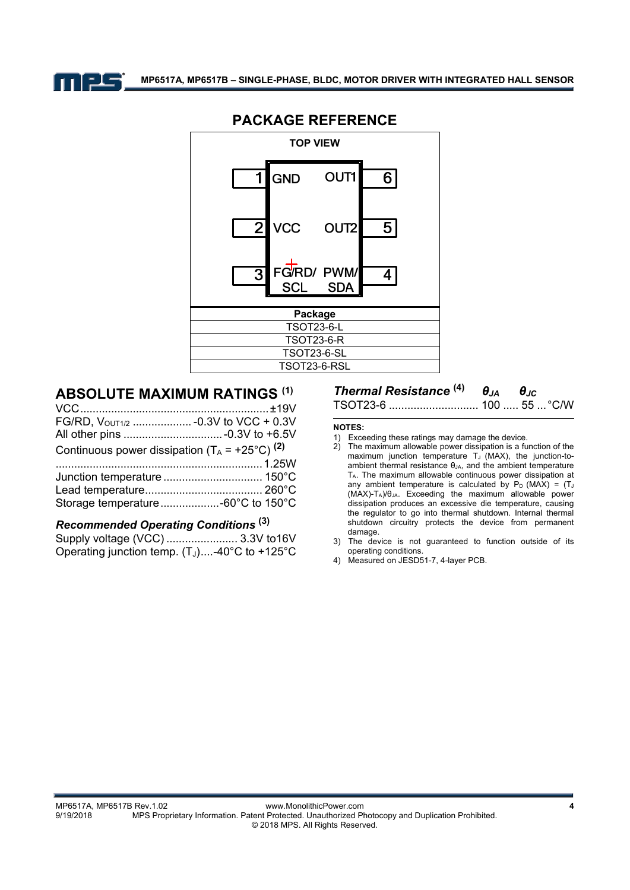



### **PACKAGE REFERENCE**

### **ABSOLUTE MAXIMUM RATINGS (1)**

| FG/RD, VOUT1/2  - 0.3V to VCC + 0.3V                      |  |
|-----------------------------------------------------------|--|
|                                                           |  |
| Continuous power dissipation $(T_A = +25^{\circ}C)^{(2)}$ |  |
|                                                           |  |
|                                                           |  |
|                                                           |  |
|                                                           |  |
|                                                           |  |

# *Recommended Operating Conditions* **(3)**

| Operating junction temp. $(T_J)$ -40°C to +125°C |  |
|--------------------------------------------------|--|

# *Thermal Resistance* **(4)** *θJA θJC*

TSOT23-6 ............................. 100 ..... 55 ... °C/W

#### **NOTES:**

- 1) Exceeding these ratings may damage the device.
- 2) The maximum allowable power dissipation is a function of the maximum junction temperature  $T_J$  (MAX), the junction-toambient thermal resistance  $\theta_{JA}$ , and the ambient temperature TA. The maximum allowable continuous power dissipation at any ambient temperature is calculated by  $P_D$  (MAX) = (TJ (MAX)-T<sub>A</sub>)/θ<sub>JA</sub>. Exceeding the maximum allowable power dissipation produces an excessive die temperature, causing the regulator to go into thermal shutdown. Internal thermal shutdown circuitry protects the device from permanent damage.
- 3) The device is not guaranteed to function outside of its operating conditions.
- 4) Measured on JESD51-7, 4-layer PCB.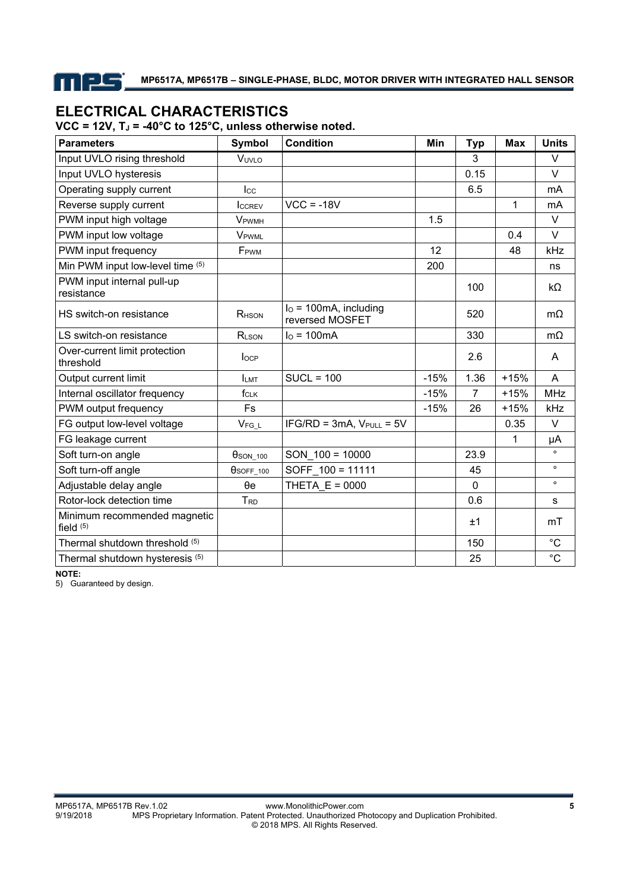mes

### **ELECTRICAL CHARACTERISTICS**  VCC = 12V, T<sub>J</sub> = -40°C to 125°C, unless otherwise noted.

| <b>Parameters</b>                           | <b>Symbol</b>            | <b>Condition</b>                           | <b>Min</b> | <b>Typ</b>     | <b>Max</b>   | <b>Units</b> |
|---------------------------------------------|--------------------------|--------------------------------------------|------------|----------------|--------------|--------------|
| Input UVLO rising threshold                 | VUVLO                    |                                            |            | 3              |              | V            |
| Input UVLO hysteresis                       |                          |                                            |            | 0.15           |              | V            |
| Operating supply current                    | $_{\text{Lcc}}$          |                                            |            | 6.5            |              | mA           |
| Reverse supply current                      | ICCREV                   | $VCC = -18V$                               |            |                | $\mathbf{1}$ | mA           |
| PWM input high voltage                      | <b>V</b> <sub>PWMH</sub> |                                            | 1.5        |                |              | $\vee$       |
| PWM input low voltage                       | <b>V</b> PWML            |                                            |            |                | 0.4          | V            |
| PWM input frequency                         | F <sub>PWM</sub>         |                                            | 12         |                | 48           | kHz          |
| Min PWM input low-level time (5)            |                          |                                            | 200        |                |              | ns           |
| PWM input internal pull-up<br>resistance    |                          |                                            |            | 100            |              | kΩ           |
| HS switch-on resistance                     | R <sub>HSON</sub>        | $IO$ = 100mA, including<br>reversed MOSFET |            | 520            |              | $m\Omega$    |
| LS switch-on resistance                     | RLSON                    | $Io = 100mA$                               |            | 330            |              | $m\Omega$    |
| Over-current limit protection<br>threshold  | locP                     |                                            |            | 2.6            |              | A            |
| Output current limit                        | <b>ILMT</b>              | $SUCL = 100$                               | $-15%$     | 1.36           | $+15%$       | A            |
| Internal oscillator frequency               | fcLK                     |                                            | $-15%$     | $\overline{7}$ | $+15%$       | <b>MHz</b>   |
| PWM output frequency                        | <b>Fs</b>                |                                            | $-15%$     | 26             | $+15%$       | kHz          |
| FG output low-level voltage                 | $V_{FG\_L}$              | $IFG/RD = 3mA$ , $V_{PULL} = 5V$           |            |                | 0.35         | V            |
| FG leakage current                          |                          |                                            |            |                | 1            | μA           |
| Soft turn-on angle                          | $\theta$ SON_100         | SON $100 = 10000$                          |            | 23.9           |              | $\circ$      |
| Soft turn-off angle                         | $\theta$ SOFF_100        | SOFF 100 = 11111                           |            | 45             |              | $\circ$      |
| Adjustable delay angle                      | $\theta$ e               | THETA $E = 0000$                           |            | 0              |              | $\circ$      |
| Rotor-lock detection time                   | T <sub>RD</sub>          |                                            |            | 0.6            |              | s            |
| Minimum recommended magnetic<br>field $(5)$ |                          |                                            |            | ±1             |              | mT           |
| Thermal shutdown threshold (5)              |                          |                                            |            | 150            |              | $^{\circ}C$  |
| Thermal shutdown hysteresis (5)             |                          |                                            |            | 25             |              | $^{\circ}C$  |

**NOTE:** 

5) Guaranteed by design.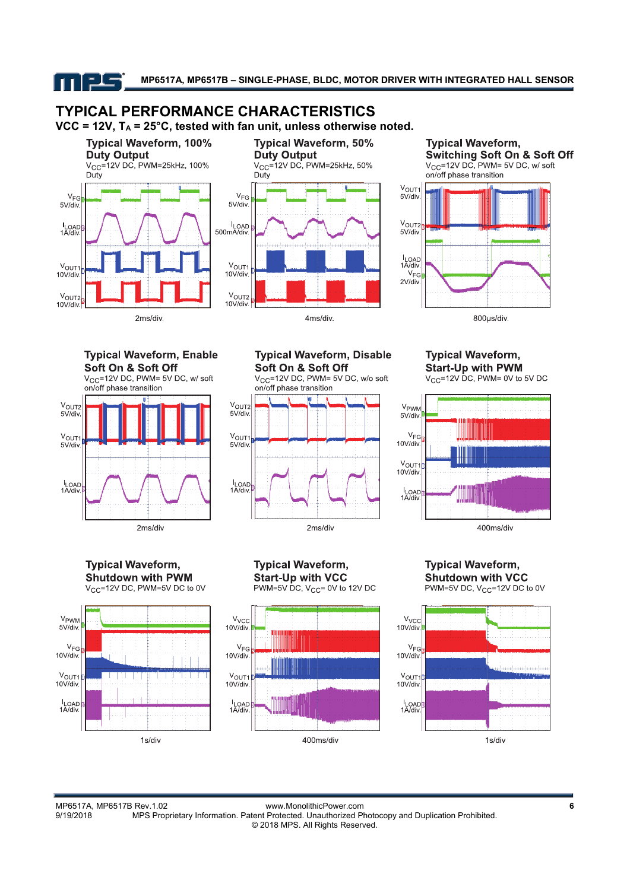<u>els</u>

**MP6517A, MP6517B – SINGLE-PHASE, BLDC, MOTOR DRIVER WITH INTEGRATED HALL SENSOR** 

# **TYPICAL PERFORMANCE CHARACTERISTICS**

VCC = 12V, T<sub>A</sub> = 25°C, tested with fan unit, unless otherwise noted.









800µs/div.

#### **Typical Waveform, Enable** Soft On & Soft Off

V<sub>CC</sub>=12V DC, PWM= 5V DC, w/ soft



**Typical Waveform, Disable** Soft On & Soft Off

 $V_{\text{CC}}$ =12V DC, PWM= 5V DC, w/o soft on/off phase transition



**Typical Waveform, Start-Up with PWM** 

 $V_{CC}$ =12V DC, PWM= 0V to 5V DC



**Typical Waveform, Shutdown with PWM** V<sub>CC</sub>=12V DC, PWM=5V DC to 0V







**Typical Waveform, Shutdown with VCC** 

PWM=5V DC, V<sub>CC</sub>=12V DC to 0V



MP6517A, MP6517B Rev.1.02 www.MonolithicPower.com **6** MPS Proprietary Information. Patent Protected. Unauthorized Photocopy and Duplication Prohibited. © 2018 MPS. All Rights Reserved.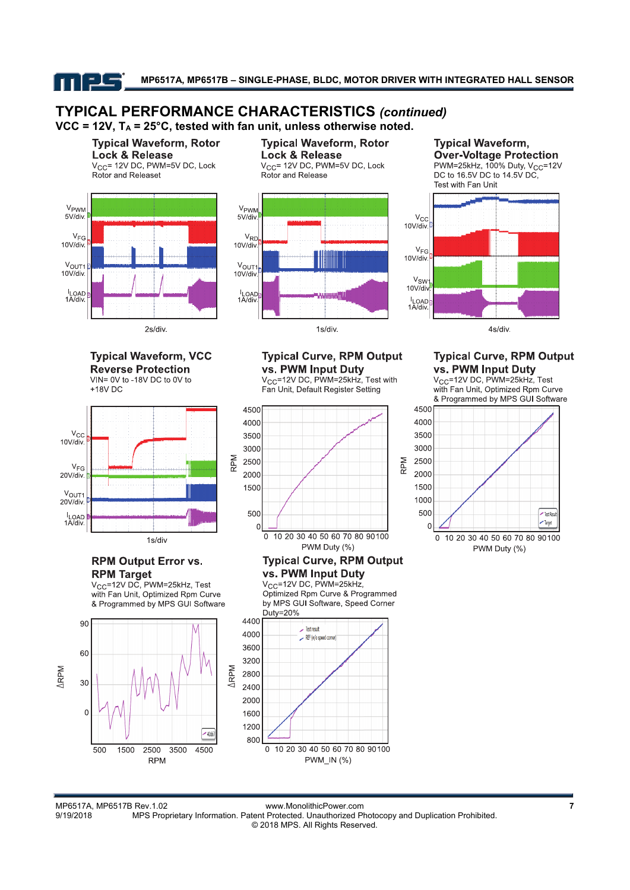nps

### **TYPICAL PERFORMANCE CHARACTERISTICS** *(continued)* VCC = 12V, T<sub>A</sub> = 25°C, tested with fan unit, unless otherwise noted.





**Typical Waveform, Rotor Lock & Release** V<sub>CC</sub>= 12V DC, PWM=5V DC, Lock Rotor and Release



**Typical Waveform, Over-Voltage Protection** PWM=25kHz, 100% Duty, V<sub>CC</sub>=12V DC to 16.5V DC to 14.5V DC,



#### **Typical Waveform, VCC Reverse Protection** VIN= 0V to -18V DC to 0V to  $+18V$  DC

2s/div.



### **RPM Output Error vs. RPM Target**

 $V_{CC}$ =12V DC, PWM=25kHz, Test with Fan Unit, Optimized Rpm Curve & Programmed by MPS GUI Software





Fan Unit, Default Register Setting



#### **Typical Curve, RPM Output** vs. PWM Input Duty

V<sub>CC</sub>=12V DC, PWM=25kHz, Optimized Rpm Curve & Programmed by MPS GUI Software, Speed Corner Duty=20% 4400



**Typical Curve, RPM Output** vs. PWM Input Duty

V<sub>CC</sub>=12V DC, PWM=25kHz, Test with Fan Unit. Optimized Rpm Curve & Programmed by MPS GUI Software



MP6517A, MP6517B Rev.1.02 www.MonolithicPower.com **7** MPS Proprietary Information. Patent Protected. Unauthorized Photocopy and Duplication Prohibited. © 2018 MPS. All Rights Reserved.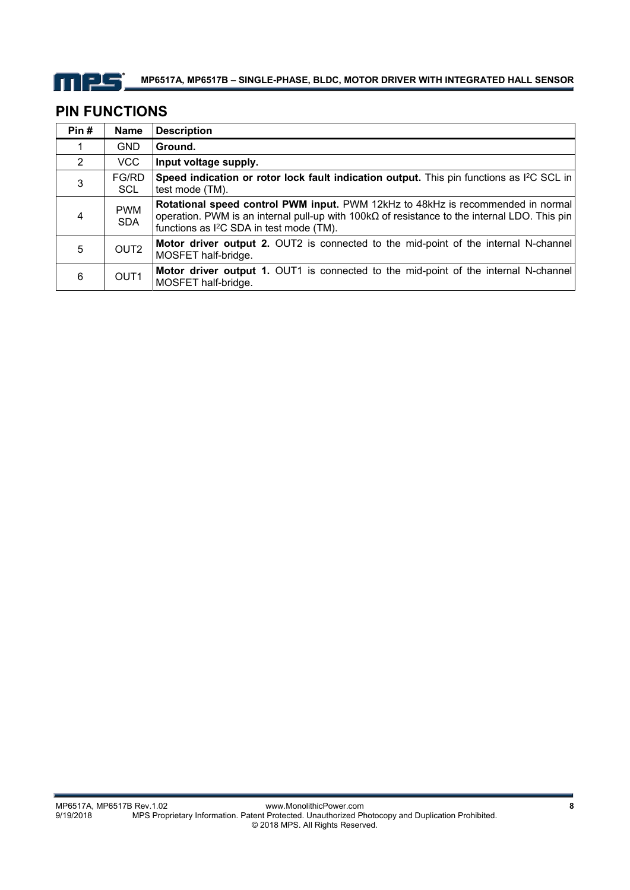

## **PIN FUNCTIONS**

| Pin#          | <b>Name</b>              | <b>Description</b>                                                                                                                                                                                                                             |
|---------------|--------------------------|------------------------------------------------------------------------------------------------------------------------------------------------------------------------------------------------------------------------------------------------|
|               | <b>GND</b>               | Ground.                                                                                                                                                                                                                                        |
| $\mathcal{P}$ | VCC.                     | Input voltage supply.                                                                                                                                                                                                                          |
| 3             | FG/RD<br><b>SCL</b>      | Speed indication or rotor lock fault indication output. This pin functions as $P\text{C}\text{SCL}$ in<br>test mode (TM).                                                                                                                      |
|               | <b>PWM</b><br><b>SDA</b> | Rotational speed control PWM input. PWM 12kHz to 48kHz is recommended in normal<br>operation. PWM is an internal pull-up with $100k\Omega$ of resistance to the internal LDO. This pin<br>functions as I <sup>2</sup> C SDA in test mode (TM). |
| 5             | OUT <sub>2</sub>         | Motor driver output 2. OUT2 is connected to the mid-point of the internal N-channel<br>MOSFET half-bridge.                                                                                                                                     |
| 6             | OUT <sub>1</sub>         | Motor driver output 1. OUT1 is connected to the mid-point of the internal N-channel<br>MOSFET half-bridge.                                                                                                                                     |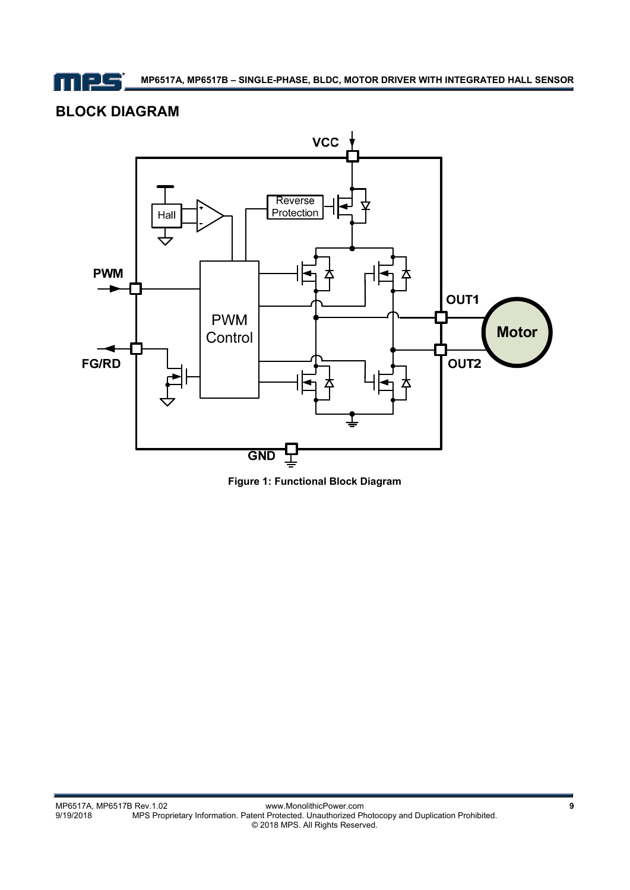mps

**MP6517A, MP6517B – SINGLE-PHASE, BLDC, MOTOR DRIVER WITH INTEGRATED HALL SENSOR** 

# **BLOCK DIAGRAM**



**Figure 1: Functional Block Diagram**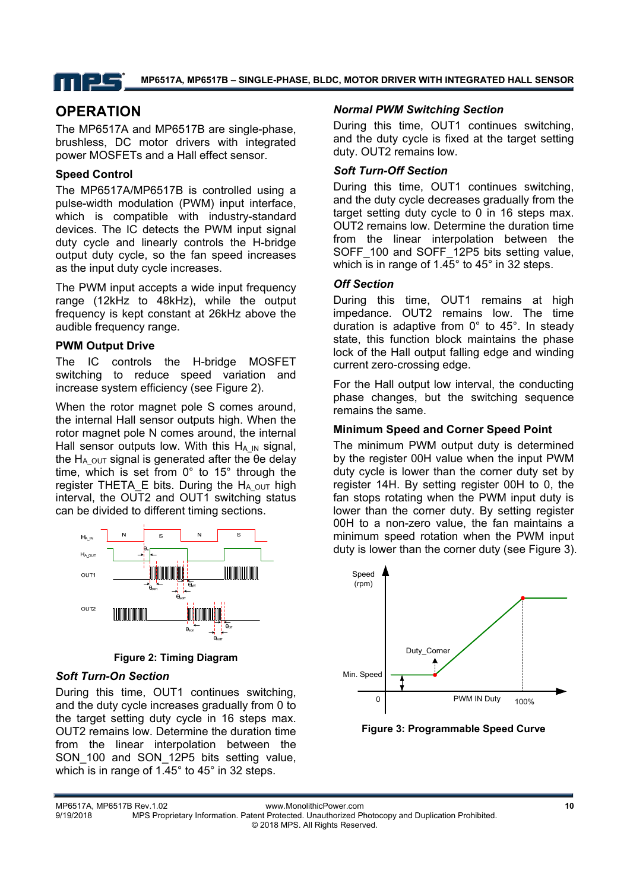## mps

#### **MP6517A, MP6517B – SINGLE-PHASE, BLDC, MOTOR DRIVER WITH INTEGRATED HALL SENSOR**

### **OPERATION**

The MP6517A and MP6517B are single-phase, brushless, DC motor drivers with integrated power MOSFETs and a Hall effect sensor.

### **Speed Control**

The MP6517A/MP6517B is controlled using a pulse-width modulation (PWM) input interface, which is compatible with industry-standard devices. The IC detects the PWM input signal duty cycle and linearly controls the H-bridge output duty cycle, so the fan speed increases as the input duty cycle increases.

The PWM input accepts a wide input frequency range (12kHz to 48kHz), while the output frequency is kept constant at 26kHz above the audible frequency range.

### **PWM Output Drive**

The IC controls the H-bridge MOSFET switching to reduce speed variation and increase system efficiency (see Figure 2).

When the rotor magnet pole S comes around, the internal Hall sensor outputs high. When the rotor magnet pole N comes around, the internal Hall sensor outputs low. With this  $H_{A\,I\!N}$  signal, the H<sub>A</sub>  $_{\text{OUT}}$  signal is generated after the θe delay time, which is set from 0° to 15° through the register THETA E bits. During the HA  $_{\text{OUT}}$  high interval, the OUT2 and OUT1 switching status can be divided to different timing sections.



**Figure 2: Timing Diagram** 

#### *Soft Turn-On Section*

During this time, OUT1 continues switching, and the duty cycle increases gradually from 0 to the target setting duty cycle in 16 steps max. OUT2 remains low. Determine the duration time from the linear interpolation between the SON 100 and SON 12P5 bits setting value, which is in range of 1.45° to 45° in 32 steps.

### *Normal PWM Switching Section*

During this time, OUT1 continues switching, and the duty cycle is fixed at the target setting duty. OUT2 remains low.

### *Soft Turn-Off Section*

During this time, OUT1 continues switching, and the duty cycle decreases gradually from the target setting duty cycle to 0 in 16 steps max. OUT2 remains low. Determine the duration time from the linear interpolation between the SOFF 100 and SOFF 12P5 bits setting value. which is in range of 1.45° to 45° in 32 steps.

### *Off Section*

During this time, OUT1 remains at high impedance. OUT2 remains low. The time duration is adaptive from 0° to 45°. In steady state, this function block maintains the phase lock of the Hall output falling edge and winding current zero-crossing edge.

For the Hall output low interval, the conducting phase changes, but the switching sequence remains the same.

### **Minimum Speed and Corner Speed Point**

The minimum PWM output duty is determined by the register 00H value when the input PWM duty cycle is lower than the corner duty set by register 14H. By setting register 00H to 0, the fan stops rotating when the PWM input duty is lower than the corner duty. By setting register 00H to a non-zero value, the fan maintains a minimum speed rotation when the PWM input duty is lower than the corner duty (see Figure 3).



**Figure 3: Programmable Speed Curve**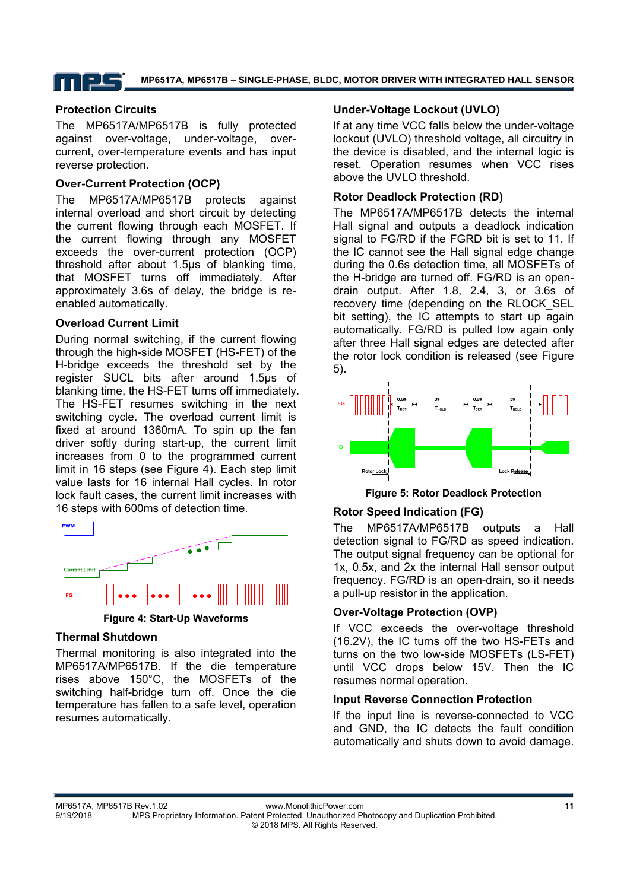**MP6517A, MP6517B – SINGLE-PHASE, BLDC, MOTOR DRIVER WITH INTEGRATED HALL SENSOR** 

### **Protection Circuits**

The MP6517A/MP6517B is fully protected against over-voltage, under-voltage, overcurrent, over-temperature events and has input reverse protection.

### **Over-Current Protection (OCP)**

The MP6517A/MP6517B protects against internal overload and short circuit by detecting the current flowing through each MOSFET. If the current flowing through any MOSFET exceeds the over-current protection (OCP) threshold after about 1.5µs of blanking time, that MOSFET turns off immediately. After approximately 3.6s of delay, the bridge is reenabled automatically.

### **Overload Current Limit**

During normal switching, if the current flowing through the high-side MOSFET (HS-FET) of the H-bridge exceeds the threshold set by the register SUCL bits after around 1.5µs of blanking time, the HS-FET turns off immediately. The HS-FET resumes switching in the next switching cycle. The overload current limit is fixed at around 1360mA. To spin up the fan driver softly during start-up, the current limit increases from 0 to the programmed current limit in 16 steps (see Figure 4). Each step limit value lasts for 16 internal Hall cycles. In rotor lock fault cases, the current limit increases with 16 steps with 600ms of detection time.



**Figure 4: Start-Up Waveforms** 

#### **Thermal Shutdown**

Thermal monitoring is also integrated into the MP6517A/MP6517B. If the die temperature rises above 150°C, the MOSFETs of the switching half-bridge turn off. Once the die temperature has fallen to a safe level, operation resumes automatically.

### **Under-Voltage Lockout (UVLO)**

If at any time VCC falls below the under-voltage lockout (UVLO) threshold voltage, all circuitry in the device is disabled, and the internal logic is reset. Operation resumes when VCC rises above the UVLO threshold.

### **Rotor Deadlock Protection (RD)**

The MP6517A/MP6517B detects the internal Hall signal and outputs a deadlock indication signal to FG/RD if the FGRD bit is set to 11. If the IC cannot see the Hall signal edge change during the 0.6s detection time, all MOSFETs of the H-bridge are turned off. FG/RD is an opendrain output. After 1.8, 2.4, 3, or 3.6s of recovery time (depending on the RLOCK\_SEL bit setting), the IC attempts to start up again automatically. FG/RD is pulled low again only after three Hall signal edges are detected after the rotor lock condition is released (see Figure 5).



**Figure 5: Rotor Deadlock Protection** 

### **Rotor Speed Indication (FG)**

The MP6517A/MP6517B outputs a Hall detection signal to FG/RD as speed indication. The output signal frequency can be optional for 1x, 0.5x, and 2x the internal Hall sensor output frequency. FG/RD is an open-drain, so it needs a pull-up resistor in the application.

#### **Over-Voltage Protection (OVP)**

If VCC exceeds the over-voltage threshold (16.2V), the IC turns off the two HS-FETs and turns on the two low-side MOSFETs (LS-FET) until VCC drops below 15V. Then the IC resumes normal operation.

#### **Input Reverse Connection Protection**

If the input line is reverse-connected to VCC and GND, the IC detects the fault condition automatically and shuts down to avoid damage.

© 2018 MPS. All Rights Reserved.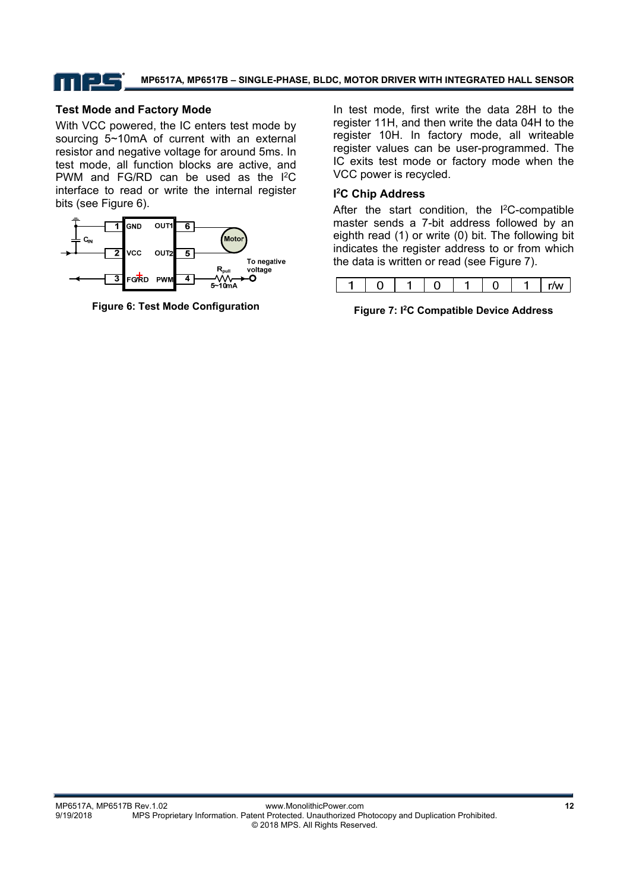### T | 25

**MP6517A, MP6517B – SINGLE-PHASE, BLDC, MOTOR DRIVER WITH INTEGRATED HALL SENSOR** 

### **Test Mode and Factory Mode**

With VCC powered, the IC enters test mode by sourcing 5~10mA of current with an external resistor and negative voltage for around 5ms. In test mode, all function blocks are active, and PWM and FG/RD can be used as the I2C interface to read or write the internal register bits (see Figure 6).



**Figure 6: Test Mode Configuration** 

In test mode, first write the data 28H to the register 11H, and then write the data 04H to the register 10H. In factory mode, all writeable register values can be user-programmed. The IC exits test mode or factory mode when the VCC power is recycled.

#### **I 2 C Chip Address**

After the start condition, the I<sup>2</sup>C-compatible master sends a 7-bit address followed by an eighth read (1) or write (0) bit. The following bit indicates the register address to or from which the data is written or read (see Figure 7).

**Figure 7: I2C Compatible Device Address**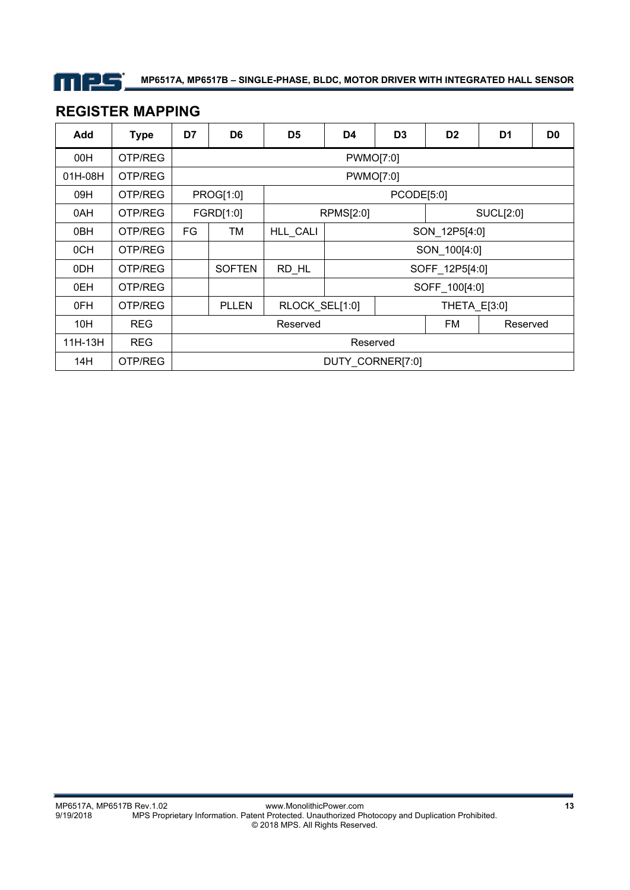

## **REGISTER MAPPING**

| Add     | <b>Type</b> | D7 | D <sub>6</sub> | D <sub>5</sub> | D <sub>4</sub>   | D <sub>3</sub>   | D <sub>2</sub> | D <sub>1</sub> | D <sub>0</sub> |
|---------|-------------|----|----------------|----------------|------------------|------------------|----------------|----------------|----------------|
| 00H     | OTP/REG     |    |                |                | <b>PWMO[7:0]</b> |                  |                |                |                |
| 01H-08H | OTP/REG     |    |                |                | <b>PWMO[7:0]</b> |                  |                |                |                |
| 09H     | OTP/REG     |    | PROG[1:0]      | PCODE[5:0]     |                  |                  |                |                |                |
| 0AH     | OTP/REG     |    | FGRD[1:0]      | RPMS[2:0]      |                  | <b>SUCL[2:0]</b> |                |                |                |
| 0BH     | OTP/REG     | FG | TМ             | HLL_CALI       |                  |                  | SON_12P5[4:0]  |                |                |
| 0CH     | OTP/REG     |    |                |                |                  | SON_100[4:0]     |                |                |                |
| 0DH     | OTP/REG     |    | <b>SOFTEN</b>  | RD HL          |                  | SOFF_12P5[4:0]   |                |                |                |
| 0EH     | OTP/REG     |    |                |                |                  |                  | SOFF_100[4:0]  |                |                |
| 0FH     | OTP/REG     |    | <b>PLLEN</b>   | RLOCK SEL[1:0] |                  |                  | THETA E[3:0]   |                |                |
| 10H     | <b>REG</b>  |    |                | Reserved       |                  |                  | FM             | Reserved       |                |
| 11H-13H | <b>REG</b>  |    | Reserved       |                |                  |                  |                |                |                |
| 14H     | OTP/REG     |    |                |                | DUTY CORNER[7:0] |                  |                |                |                |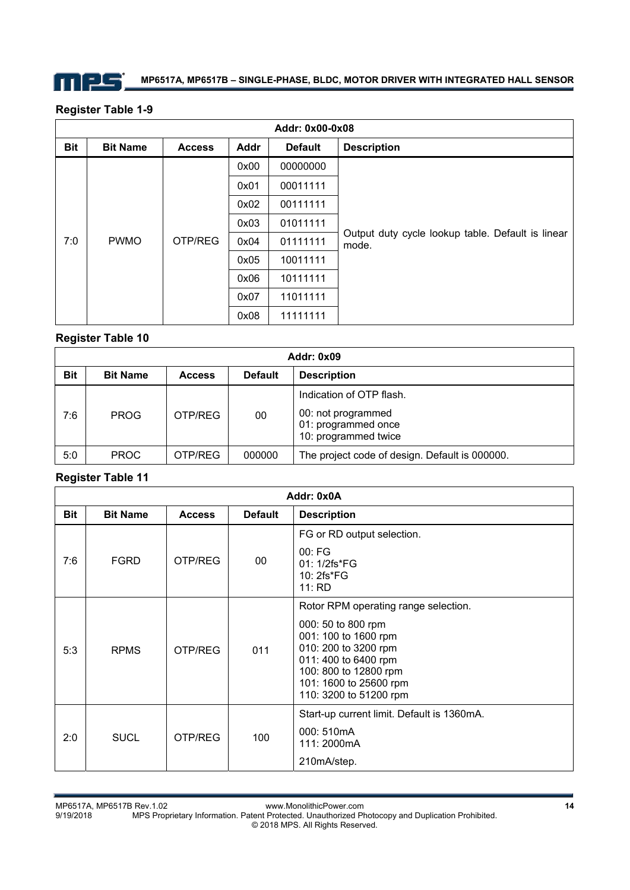

### **Register Table 1-9**

|            | Addr: 0x00-0x08    |               |          |                |                                                            |  |  |  |  |
|------------|--------------------|---------------|----------|----------------|------------------------------------------------------------|--|--|--|--|
| <b>Bit</b> | <b>Bit Name</b>    | <b>Access</b> | Addr     | <b>Default</b> | <b>Description</b>                                         |  |  |  |  |
|            |                    | 0x00          | 00000000 |                |                                                            |  |  |  |  |
|            | 7:0<br><b>PWMO</b> |               | 0x01     | 00011111       |                                                            |  |  |  |  |
|            |                    | OTP/REG       | 0x02     | 00111111       |                                                            |  |  |  |  |
|            |                    |               | 0x03     | 01011111       |                                                            |  |  |  |  |
|            |                    |               | 0x04     | 01111111       | Output duty cycle lookup table. Default is linear<br>mode. |  |  |  |  |
|            |                    | 0x05          | 10011111 |                |                                                            |  |  |  |  |
|            |                    |               |          | 0x06           | 10111111                                                   |  |  |  |  |
|            |                    |               | 0x07     | 11011111       |                                                            |  |  |  |  |
|            |                    |               | 0x08     | 11111111       |                                                            |  |  |  |  |

### **Register Table 10**

|            | <b>Addr: 0x09</b> |               |                |                                                                                               |  |  |  |
|------------|-------------------|---------------|----------------|-----------------------------------------------------------------------------------------------|--|--|--|
| <b>Bit</b> | <b>Bit Name</b>   | <b>Access</b> | <b>Default</b> | <b>Description</b>                                                                            |  |  |  |
| 7:6        | <b>PROG</b>       | OTP/REG       | 00             | Indication of OTP flash.<br>00: not programmed<br>01: programmed once<br>10: programmed twice |  |  |  |
| 5:0        | <b>PROC</b>       | OTP/REG       | 000000         | The project code of design. Default is 000000.                                                |  |  |  |

### **Register Table 11**

|            | Addr: 0x0A      |               |                |                                                                                                                                                                                                                 |  |  |  |  |
|------------|-----------------|---------------|----------------|-----------------------------------------------------------------------------------------------------------------------------------------------------------------------------------------------------------------|--|--|--|--|
| <b>Bit</b> | <b>Bit Name</b> | <b>Access</b> | <b>Default</b> | <b>Description</b>                                                                                                                                                                                              |  |  |  |  |
| 7:6        | <b>FGRD</b>     | OTP/REG       | $00\,$         | FG or RD output selection.<br>00: FG<br>$01:1/2fs*FG$<br>10: 2fs*FG<br>11:RD                                                                                                                                    |  |  |  |  |
| 5:3        | <b>RPMS</b>     | OTP/REG       | 011            | Rotor RPM operating range selection.<br>000: 50 to 800 rpm<br>001: 100 to 1600 rpm<br>010: 200 to 3200 rpm<br>011: 400 to 6400 rpm<br>100: 800 to 12800 rpm<br>101: 1600 to 25600 rpm<br>110: 3200 to 51200 rpm |  |  |  |  |
| 2:0        | <b>SUCL</b>     | OTP/REG       | 100            | Start-up current limit. Default is 1360mA.<br>000: 510mA<br>111: 2000mA<br>210mA/step.                                                                                                                          |  |  |  |  |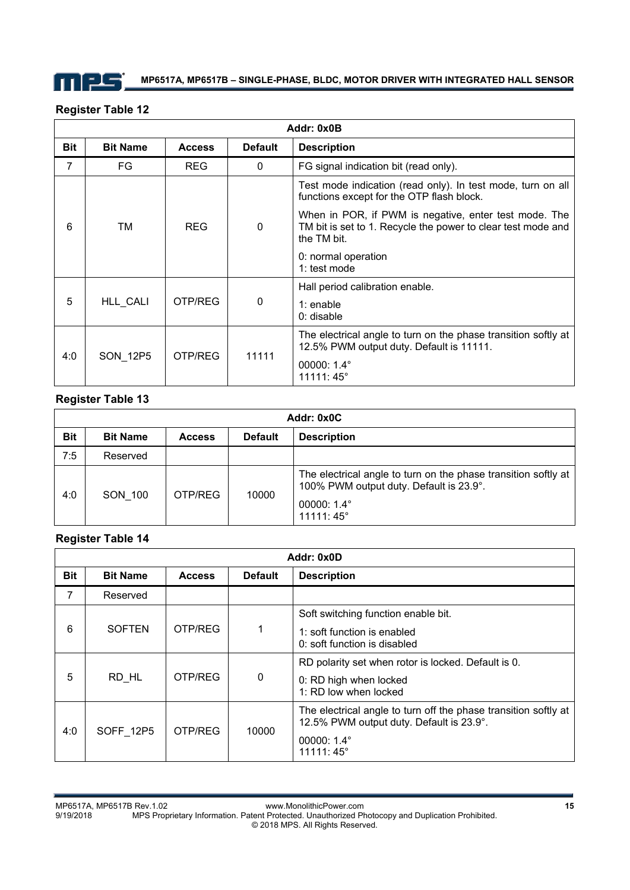

#### **Addr: 0x0B Bit | Bit Name | Access | Default | Description** 7 | FG | REG | 0 | FG signal indication bit (read only). 6 | TM | REG | 0 Test mode indication (read only). In test mode, turn on all functions except for the OTP flash block. When in POR, if PWM is negative, enter test mode. The TM bit is set to 1. Recycle the power to clear test mode and the TM bit. 0: normal operation 1: test mode 5 | HLL CALI | OTP/REG | 0 Hall period calibration enable. 1: enable 0: disable 4:0 | SON\_12P5 | OTP/REG | 11111 The electrical angle to turn on the phase transition softly at 12.5% PWM output duty. Default is 11111. 00000: 1.4° 11111: 45°

### **Register Table 12**

### **Register Table 13**

|            | Addr: 0x0C      |               |                |                                                                                                                                                         |  |  |  |
|------------|-----------------|---------------|----------------|---------------------------------------------------------------------------------------------------------------------------------------------------------|--|--|--|
| <b>Bit</b> | <b>Bit Name</b> | <b>Access</b> | <b>Default</b> | <b>Description</b>                                                                                                                                      |  |  |  |
| 7:5        | Reserved        |               |                |                                                                                                                                                         |  |  |  |
| 4:0        | SON 100         | OTP/REG       | 10000          | The electrical angle to turn on the phase transition softly at<br>100% PWM output duty. Default is 23.9°.<br>00000: $1.4^{\circ}$<br>$11111:45^{\circ}$ |  |  |  |

### **Register Table 14**

| Addr: 0x0D |                 |               |                |                                                                                                                                         |
|------------|-----------------|---------------|----------------|-----------------------------------------------------------------------------------------------------------------------------------------|
| <b>Bit</b> | <b>Bit Name</b> | <b>Access</b> | <b>Default</b> | <b>Description</b>                                                                                                                      |
| 7          | Reserved        |               |                |                                                                                                                                         |
| 6          | <b>SOFTEN</b>   | OTP/REG       |                | Soft switching function enable bit.<br>1: soft function is enabled<br>0: soft function is disabled                                      |
| 5          | RD HL           | OTP/REG       | $\Omega$       | RD polarity set when rotor is locked. Default is 0.<br>0: RD high when locked<br>1: RD low when locked                                  |
| 4:0        | SOFF 12P5       | OTP/REG       | 10000          | The electrical angle to turn off the phase transition softly at<br>12.5% PWM output duty. Default is 23.9°.<br>00000: 1.4°<br>11111:45° |

MP6517A, MP6517B Rev.1.02 www.MonolithicPower.com **15** MPS Proprietary Information. Patent Protected. Unauthorized Photocopy and Duplication Prohibited. © 2018 MPS. All Rights Reserved.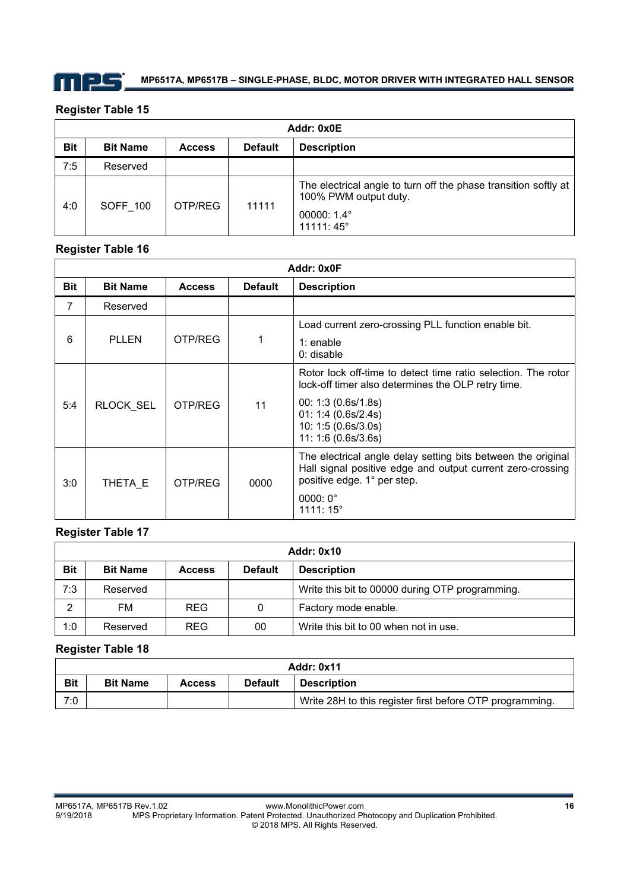

### **Register Table 15**

| Addr: 0x0E |                 |               |                |                                                                                                                      |
|------------|-----------------|---------------|----------------|----------------------------------------------------------------------------------------------------------------------|
| <b>Bit</b> | <b>Bit Name</b> | <b>Access</b> | <b>Default</b> | <b>Description</b>                                                                                                   |
| 7:5        | Reserved        |               |                |                                                                                                                      |
| 4:0        | <b>SOFF 100</b> | OTP/REG       | 11111          | The electrical angle to turn off the phase transition softly at<br>100% PWM output duty.<br>00000: 1.4°<br>11111:45° |

### **Register Table 16**

| Addr: 0x0F |                  |               |                |                                                                                                                                                                                                                 |
|------------|------------------|---------------|----------------|-----------------------------------------------------------------------------------------------------------------------------------------------------------------------------------------------------------------|
| <b>Bit</b> | <b>Bit Name</b>  | <b>Access</b> | <b>Default</b> | <b>Description</b>                                                                                                                                                                                              |
| 7          | Reserved         |               |                |                                                                                                                                                                                                                 |
| 6          | <b>PLLEN</b>     | OTP/REG       |                | Load current zero-crossing PLL function enable bit.<br>$1:$ enable<br>$0:$ disable                                                                                                                              |
| 5:4        | <b>RLOCK SEL</b> | OTP/REG       | 11             | Rotor lock off-time to detect time ratio selection. The rotor<br>lock-off timer also determines the OLP retry time.<br>00: 1:3 (0.6s/1.8s)<br>01: 1:4 (0.6s/2.4s)<br>10: 1:5 (0.6s/3.0s)<br>11: 1:6 (0.6s/3.6s) |
| 3:0        | THETA E          | OTP/REG       | 0000           | The electrical angle delay setting bits between the original<br>Hall signal positive edge and output current zero-crossing<br>positive edge. 1° per step.<br>$0000:0^{\circ}$<br>1111:15°                       |

### **Register Table 17**

| <b>Addr: 0x10</b> |                 |               |                |                                                 |  |
|-------------------|-----------------|---------------|----------------|-------------------------------------------------|--|
| <b>Bit</b>        | <b>Bit Name</b> | <b>Access</b> | <b>Default</b> | <b>Description</b>                              |  |
| 7:3               | Reserved        |               |                | Write this bit to 00000 during OTP programming. |  |
| っ                 | FM              | <b>REG</b>    | 0              | Factory mode enable.                            |  |
| 1:0               | Reserved        | <b>REG</b>    | 00             | Write this bit to 00 when not in use.           |  |

### **Register Table 18**

| <b>Addr: 0x11</b> |                 |               |                |                                                          |  |
|-------------------|-----------------|---------------|----------------|----------------------------------------------------------|--|
| <b>Bit</b>        | <b>Bit Name</b> | <b>Access</b> | <b>Default</b> | <b>Description</b>                                       |  |
| 7:0               |                 |               |                | Write 28H to this register first before OTP programming. |  |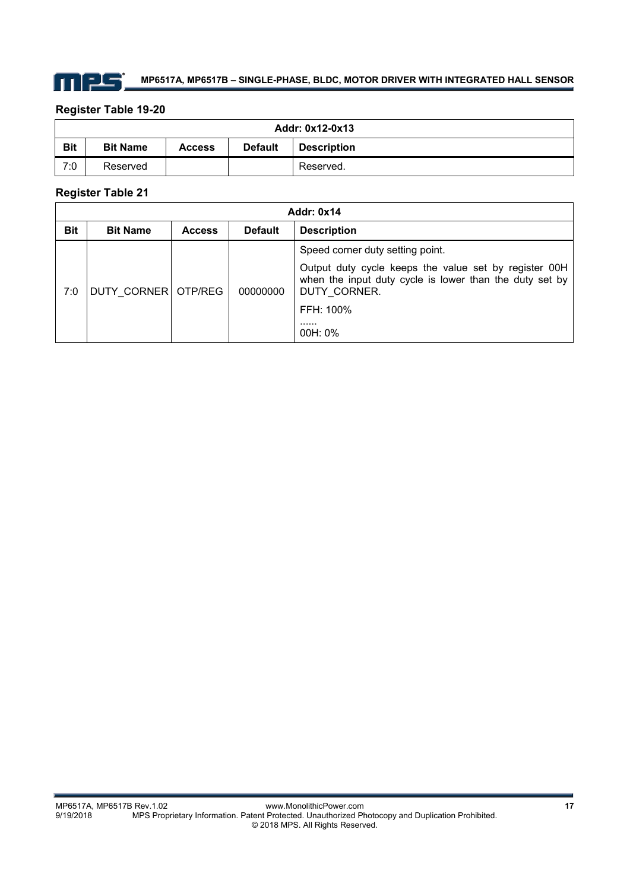

### **Register Table 19-20**

| Addr: 0x12-0x13 |                 |               |                |                    |  |
|-----------------|-----------------|---------------|----------------|--------------------|--|
| <b>Bit</b>      | <b>Bit Name</b> | <b>Access</b> | <b>Default</b> | <b>Description</b> |  |
| 7:0             | Reserved        |               |                | Reserved.          |  |

### **Register Table 21**

| <b>Addr: 0x14</b> |                     |               |                |                                                                                                                                  |
|-------------------|---------------------|---------------|----------------|----------------------------------------------------------------------------------------------------------------------------------|
| <b>Bit</b>        | <b>Bit Name</b>     | <b>Access</b> | <b>Default</b> | <b>Description</b>                                                                                                               |
|                   |                     |               |                | Speed corner duty setting point.                                                                                                 |
| 7:0               | DUTY CORNER OTP/REG |               | 00000000       | Output duty cycle keeps the value set by register 00H<br>when the input duty cycle is lower than the duty set by<br>DUTY CORNER. |
|                   |                     |               |                | FFH: 100%                                                                                                                        |
|                   |                     |               |                | .<br>$00H: 0\%$                                                                                                                  |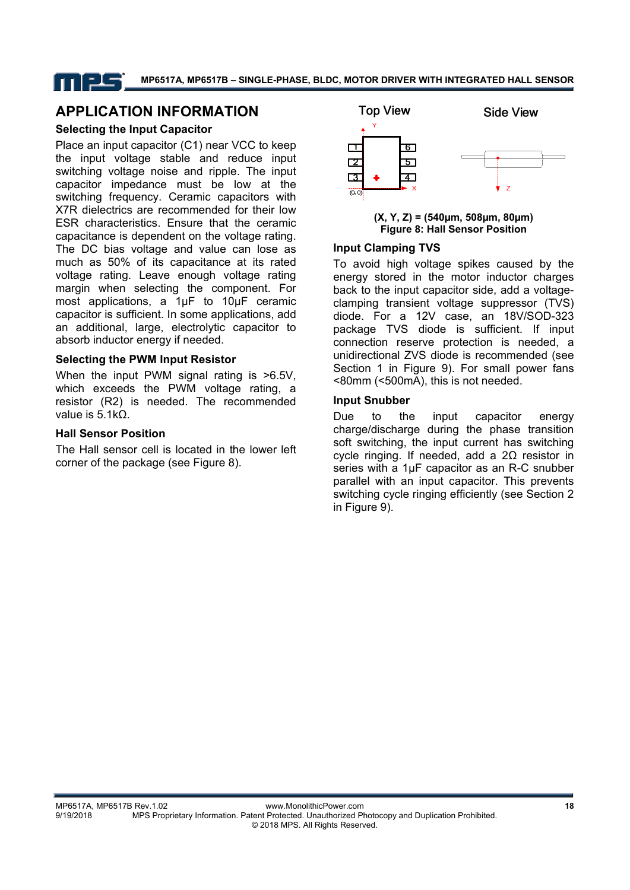### **APPLICATION INFORMATION**

### **Selecting the Input Capacitor**

Place an input capacitor (C1) near VCC to keep the input voltage stable and reduce input switching voltage noise and ripple. The input capacitor impedance must be low at the switching frequency. Ceramic capacitors with X7R dielectrics are recommended for their low ESR characteristics. Ensure that the ceramic capacitance is dependent on the voltage rating. The DC bias voltage and value can lose as much as 50% of its capacitance at its rated voltage rating. Leave enough voltage rating margin when selecting the component. For most applications, a 1μF to 10μF ceramic capacitor is sufficient. In some applications, add an additional, large, electrolytic capacitor to absorb inductor energy if needed.

### **Selecting the PWM Input Resistor**

When the input PWM signal rating is >6.5V, which exceeds the PWM voltage rating, a resistor (R2) is needed. The recommended value is 5.1kΩ.

### **Hall Sensor Position**

The Hall sensor cell is located in the lower left corner of the package (see Figure 8).



**(X, Y, Z) = (540µm, 508µm, 80µm) Figure 8: Hall Sensor Position**

### **Input Clamping TVS**

To avoid high voltage spikes caused by the energy stored in the motor inductor charges back to the input capacitor side, add a voltageclamping transient voltage suppressor (TVS) diode. For a 12V case, an 18V/SOD-323 package TVS diode is sufficient. If input connection reserve protection is needed, a unidirectional ZVS diode is recommended (see Section 1 in Figure 9). For small power fans <80mm (<500mA), this is not needed.

#### **Input Snubber**

Due to the input capacitor energy charge/discharge during the phase transition soft switching, the input current has switching cycle ringing. If needed, add a 2Ω resistor in series with a 1µF capacitor as an R-C snubber parallel with an input capacitor. This prevents switching cycle ringing efficiently (see Section 2 in Figure 9).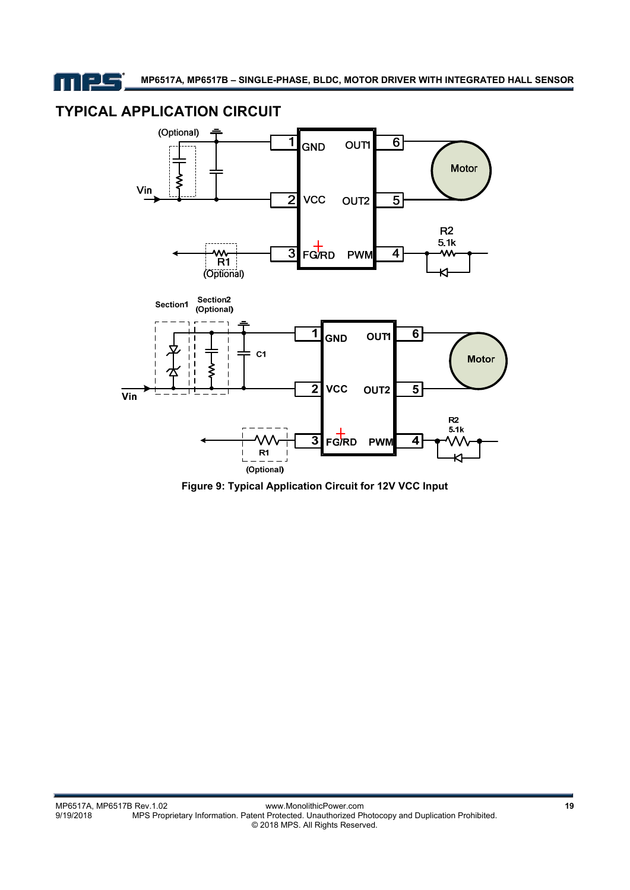11 ELS

# **TYPICAL APPLICATION CIRCUIT**



**Figure 9: Typical Application Circuit for 12V VCC Input**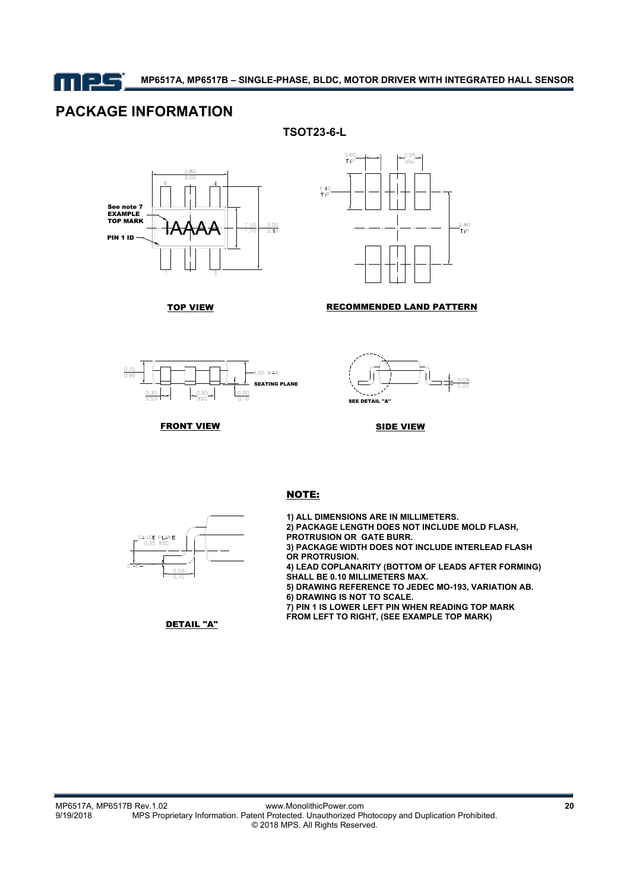

# **PACKAGE INFORMATION**

**TSOT23-6-L** 





TOP VIEW **RECOMMENDED LAND PATTERN** 



**FRONT VIEW** 



SIDE VIEW



#### NOTE:

**1) ALL DIMENSIONS ARE IN MILLIMETERS. 2) PACKAGE LENGTH DOES NOT INCLUDE MOLD FLASH, PROTRUSION OR GATE BURR. 3) PACKAGE WIDTH DOES NOT INCLUDE INTERLEAD FLASH OR PROTRUSION. 4) LEAD COPLANARITY (BOTTOM OF LEADS AFTER FORMING) SHALL BE 0.10 MILLIMETERS MAX. 5) DRAWING REFERENCE TO JEDEC MO-193, VARIATION AB. 6) DRAWING IS NOT TO SCALE. 7) PIN 1 IS LOWER LEFT PIN WHEN READING TOP MARK** 

**FROM LEFT TO RIGHT, (SEE EXAMPLE TOP MARK)**

DETAIL "A"

MP6517A, MP6517B Rev.1.02 www.MonolithicPower.com **20** MPS Proprietary Information. Patent Protected. Unauthorized Photocopy and Duplication Prohibited. © 2018 MPS. All Rights Reserved.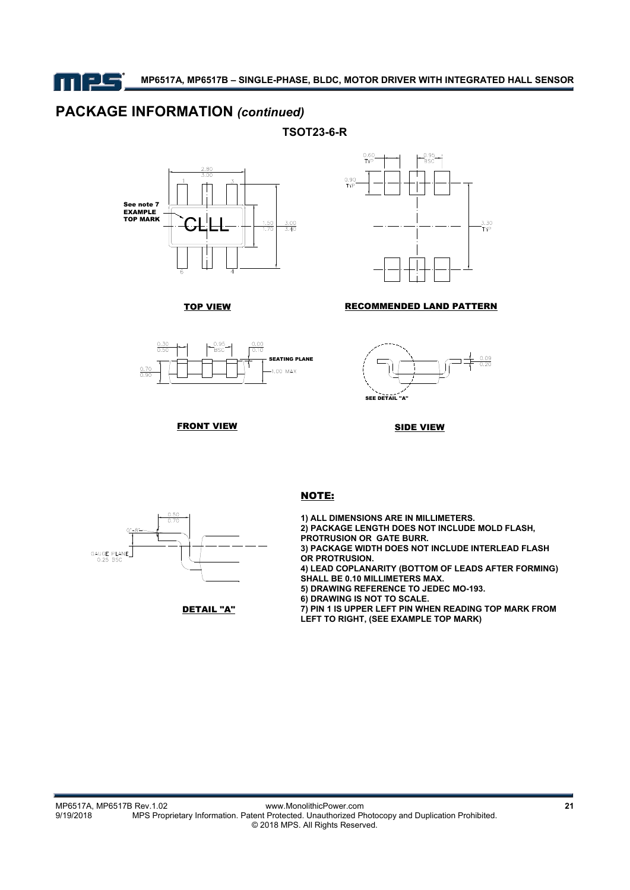mes

## **PACKAGE INFORMATION** *(continued)*

**TSOT23-6-R** 





TOP VIEW **RECOMMENDED LAND PATTERN** 





**FRONT VIEW** 

SIDE VIEW





#### NOTE:

**1) ALL DIMENSIONS ARE IN MILLIMETERS. 2) PACKAGE LENGTH DOES NOT INCLUDE MOLD FLASH, PROTRUSION OR GATE BURR. 3) PACKAGE WIDTH DOES NOT INCLUDE INTERLEAD FLASH OR PROTRUSION. 4) LEAD COPLANARITY (BOTTOM OF LEADS AFTER FORMING) SHALL BE 0.10 MILLIMETERS MAX. 5) DRAWING REFERENCE TO JEDEC MO-193. 6) DRAWING IS NOT TO SCALE. 7) PIN 1 IS UPPER LEFT PIN WHEN READING TOP MARK FROM LEFT TO RIGHT, (SEE EXAMPLE TOP MARK)**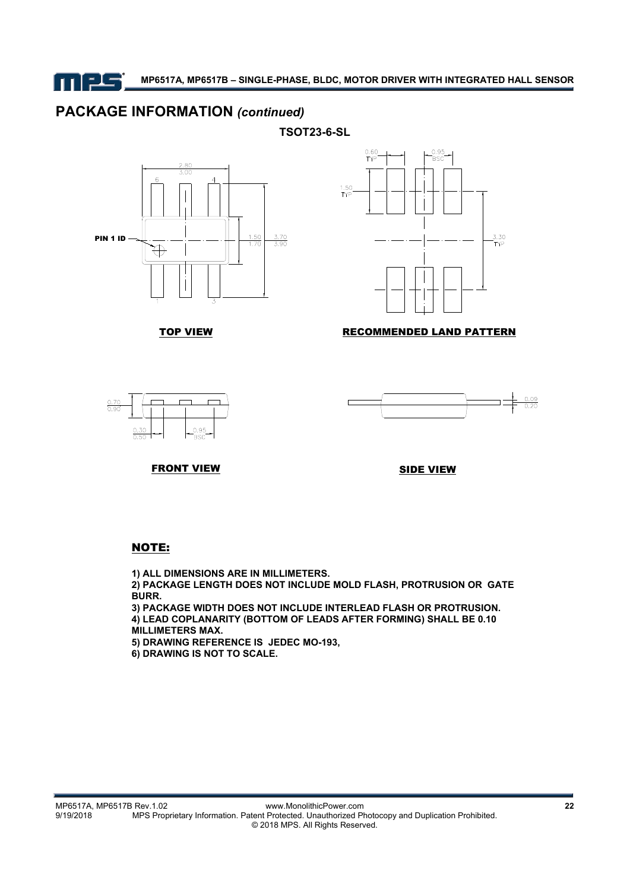n 125

**MP6517A, MP6517B – SINGLE-PHASE, BLDC, MOTOR DRIVER WITH INTEGRATED HALL SENSOR** 

## **PACKAGE INFORMATION** *(continued)*

**TSOT23-6-SL** 





### TOP VIEW RECOMMENDED LAND PATTERN





FRONT VIEW

SIDE VIEW

### NOTE:

**1) ALL DIMENSIONS ARE IN MILLIMETERS.**

**2) PACKAGE LENGTH DOES NOT INCLUDE MOLD FLASH, PROTRUSION OR GATE BURR.**

**3) PACKAGE WIDTH DOES NOT INCLUDE INTERLEAD FLASH OR PROTRUSION. 4) LEAD COPLANARITY (BOTTOM OF LEADS AFTER FORMING) SHALL BE 0.10** 

**MILLIMETERS MAX.**

**5) DRAWING REFERENCE IS JEDEC MO-193,** 

**6) DRAWING IS NOT TO SCALE.**